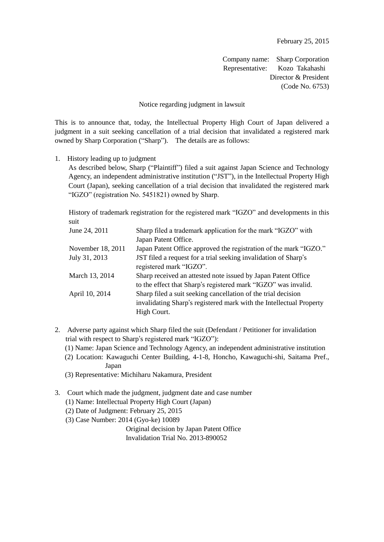Company name: Sharp Corporation Representative: Kozo Takahashi Director & President (Code No. 6753)

## Notice regarding judgment in lawsuit

This is to announce that, today, the Intellectual Property High Court of Japan delivered a judgment in a suit seeking cancellation of a trial decision that invalidated a registered mark owned by Sharp Corporation ("Sharp"). The details are as follows:

1. History leading up to judgment

As described below, Sharp ("Plaintiff") filed a suit against Japan Science and Technology Agency, an independent administrative institution ("JST"), in the Intellectual Property High Court (Japan), seeking cancellation of a trial decision that invalidated the registered mark "IGZO" (registration No. 5451821) owned by Sharp.

History of trademark registration for the registered mark "IGZO" and developments in this suit

| June 24, 2011     | Sharp filed a trademark application for the mark "IGZO" with        |  |
|-------------------|---------------------------------------------------------------------|--|
|                   | Japan Patent Office.                                                |  |
| November 18, 2011 | Japan Patent Office approved the registration of the mark "IGZO."   |  |
| July 31, 2013     | JST filed a request for a trial seeking invalidation of Sharp's     |  |
|                   | registered mark "IGZO".                                             |  |
| March 13, 2014    | Sharp received an attested note issued by Japan Patent Office       |  |
|                   | to the effect that Sharp's registered mark "IGZO" was invalid.      |  |
| April 10, 2014    | Sharp filed a suit seeking cancellation of the trial decision       |  |
|                   | invalidating Sharp's registered mark with the Intellectual Property |  |
|                   | High Court.                                                         |  |
|                   |                                                                     |  |

2. Adverse party against which Sharp filed the suit (Defendant / Petitioner for invalidation trial with respect to Sharp's registered mark "IGZO"):

(1) Name: Japan Science and Technology Agency, an independent administrative institution

- (2) Location: Kawaguchi Center Building, 4-1-8, Honcho, Kawaguchi-shi, Saitama Pref., Japan
- (3) Representative: Michiharu Nakamura, President
- 3. Court which made the judgment, judgment date and case number
	- (1) Name: Intellectual Property High Court (Japan)
	- (2) Date of Judgment: February 25, 2015
	- (3) Case Number: 2014 (Gyo-ke) 10089

 Original decision by Japan Patent Office Invalidation Trial No. 2013-890052